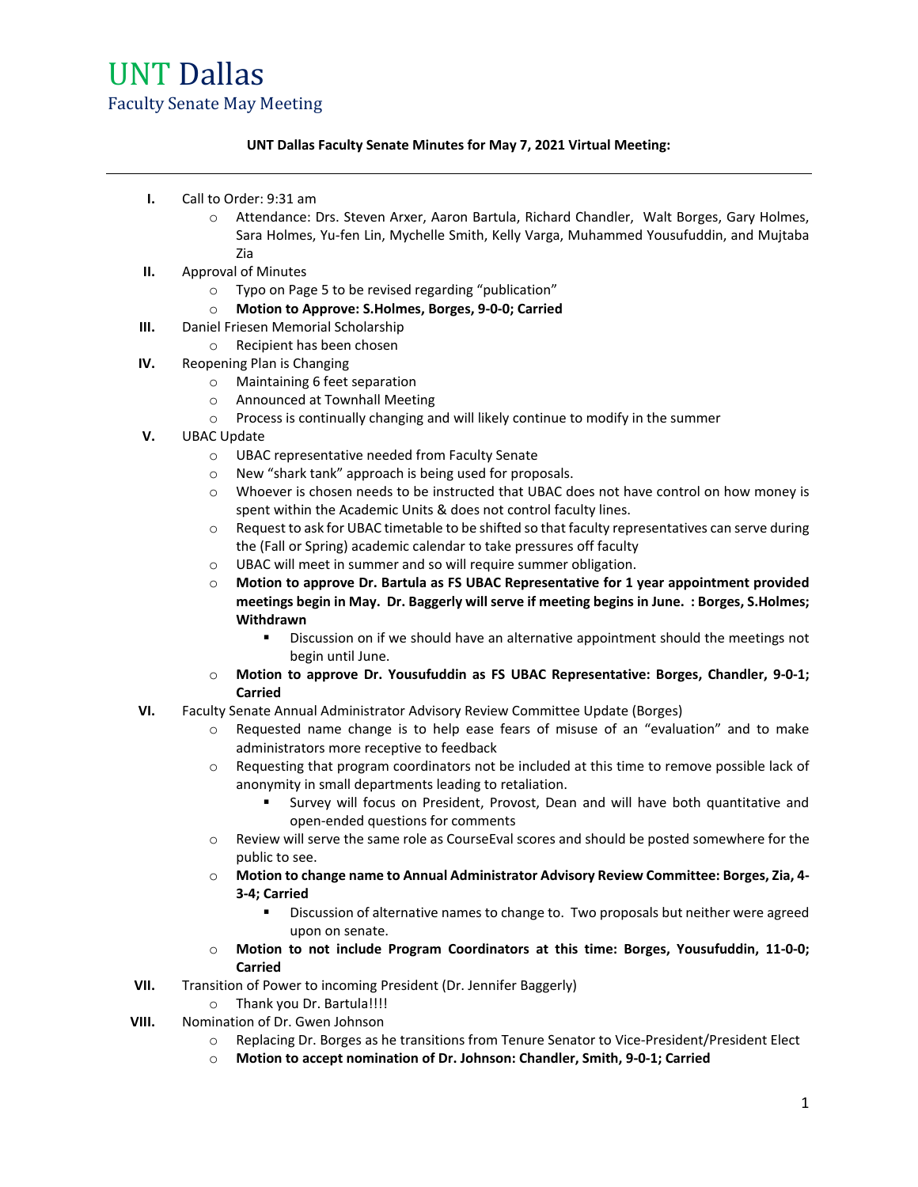#### **UNT Dallas Faculty Senate Minutes for May 7, 2021 Virtual Meeting:**

- **I.** Call to Order: 9:31 am
	- o Attendance: Drs. Steven Arxer, Aaron Bartula, Richard Chandler, Walt Borges, Gary Holmes, Sara Holmes, Yu-fen Lin, Mychelle Smith, Kelly Varga, Muhammed Yousufuddin, and Mujtaba Zia
- **II.** Approval of Minutes
	- o Typo on Page 5 to be revised regarding "publication"
	- o **Motion to Approve: S.Holmes, Borges, 9-0-0; Carried**
- **III.** Daniel Friesen Memorial Scholarship
	- o Recipient has been chosen
- **IV.** Reopening Plan is Changing
	- o Maintaining 6 feet separation
	-
	- o Announced at Townhall Meeting<br>
	o Process is continually changing are Process is continually changing and will likely continue to modify in the summer
- **V.** UBAC Update
	- o UBAC representative needed from Faculty Senate
	- o New "shark tank" approach is being used for proposals.
	- o Whoever is chosen needs to be instructed that UBAC does not have control on how money is spent within the Academic Units & does not control faculty lines.
	- o Request to ask for UBAC timetable to be shifted so that faculty representatives can serve during the (Fall or Spring) academic calendar to take pressures off faculty
	- o UBAC will meet in summer and so will require summer obligation.
	- o **Motion to approve Dr. Bartula as FS UBAC Representative for 1 year appointment provided meetings begin in May. Dr. Baggerly will serve if meeting begins in June. : Borges, S.Holmes; Withdrawn**
		- Discussion on if we should have an alternative appointment should the meetings not begin until June.
	- o **Motion to approve Dr. Yousufuddin as FS UBAC Representative: Borges, Chandler, 9-0-1; Carried**
- **VI.** Faculty Senate Annual Administrator Advisory Review Committee Update (Borges)
	- o Requested name change is to help ease fears of misuse of an "evaluation" and to make administrators more receptive to feedback
	- o Requesting that program coordinators not be included at this time to remove possible lack of anonymity in small departments leading to retaliation.
		- Survey will focus on President, Provost, Dean and will have both quantitative and open-ended questions for comments
	- o Review will serve the same role as CourseEval scores and should be posted somewhere for the public to see.
	- o **Motion to change name to Annual Administrator Advisory Review Committee: Borges, Zia, 4- 3-4; Carried**
		- Discussion of alternative names to change to. Two proposals but neither were agreed upon on senate.
	- o **Motion to not include Program Coordinators at this time: Borges, Yousufuddin, 11-0-0; Carried**
- **VII.** Transition of Power to incoming President (Dr. Jennifer Baggerly)
- o Thank you Dr. Bartula!!!!
- **VIII.** Nomination of Dr. Gwen Johnson
	- o Replacing Dr. Borges as he transitions from Tenure Senator to Vice-President/President Elect
	- o **Motion to accept nomination of Dr. Johnson: Chandler, Smith, 9-0-1; Carried**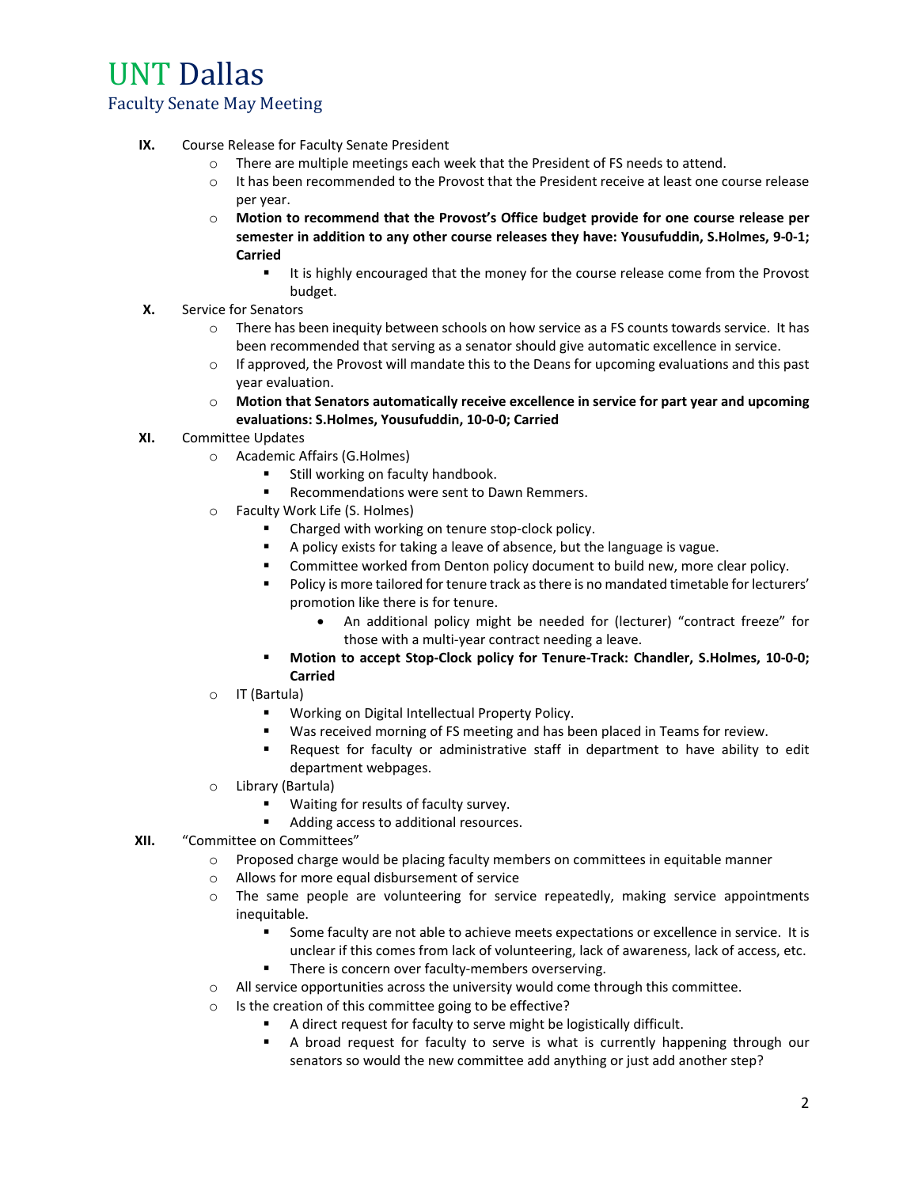- **IX.** Course Release for Faculty Senate President
	- o There are multiple meetings each week that the President of FS needs to attend.
	- o It has been recommended to the Provost that the President receive at least one course release per year.
	- o **Motion to recommend that the Provost's Office budget provide for one course release per semester in addition to any other course releases they have: Yousufuddin, S.Holmes, 9-0-1; Carried**
		- It is highly encouraged that the money for the course release come from the Provost budget.
- **X.** Service for Senators
	- $\circ$  There has been inequity between schools on how service as a FS counts towards service. It has been recommended that serving as a senator should give automatic excellence in service.
	- $\circ$  If approved, the Provost will mandate this to the Deans for upcoming evaluations and this past year evaluation.
	- o **Motion that Senators automatically receive excellence in service for part year and upcoming evaluations: S.Holmes, Yousufuddin, 10-0-0; Carried**
- **XI.** Committee Updates
	- o Academic Affairs (G.Holmes)
		- **Still working on faculty handbook.**
		- **Recommendations were sent to Dawn Remmers.**
	- o Faculty Work Life (S. Holmes)
		- Charged with working on tenure stop-clock policy.
		- A policy exists for taking a leave of absence, but the language is vague.
		- **EXEDENT** Committee worked from Denton policy document to build new, more clear policy.
		- **Policy is more tailored for tenure track as there is no mandated timetable for lecturers'** promotion like there is for tenure.
			- An additional policy might be needed for (lecturer) "contract freeze" for those with a multi-year contract needing a leave.
		- **Motion to accept Stop-Clock policy for Tenure-Track: Chandler, S.Holmes, 10-0-0; Carried**
	- o IT (Bartula)
		- Working on Digital Intellectual Property Policy.
		- Was received morning of FS meeting and has been placed in Teams for review.
		- Request for faculty or administrative staff in department to have ability to edit department webpages.
	- o Library (Bartula)
		- Waiting for results of faculty survey.
		- Adding access to additional resources.
- **XII.** "Committee on Committees"
	- $\circ$  Proposed charge would be placing faculty members on committees in equitable manner
	- o Allows for more equal disbursement of service
	- $\circ$  The same people are volunteering for service repeatedly, making service appointments inequitable.
		- **Some faculty are not able to achieve meets expectations or excellence in service. It is** unclear if this comes from lack of volunteering, lack of awareness, lack of access, etc. **There is concern over faculty-members overserving.**
	- o All service opportunities across the university would come through this committee.
	- o Is the creation of this committee going to be effective?
		- A direct request for faculty to serve might be logistically difficult.
		- A broad request for faculty to serve is what is currently happening through our senators so would the new committee add anything or just add another step?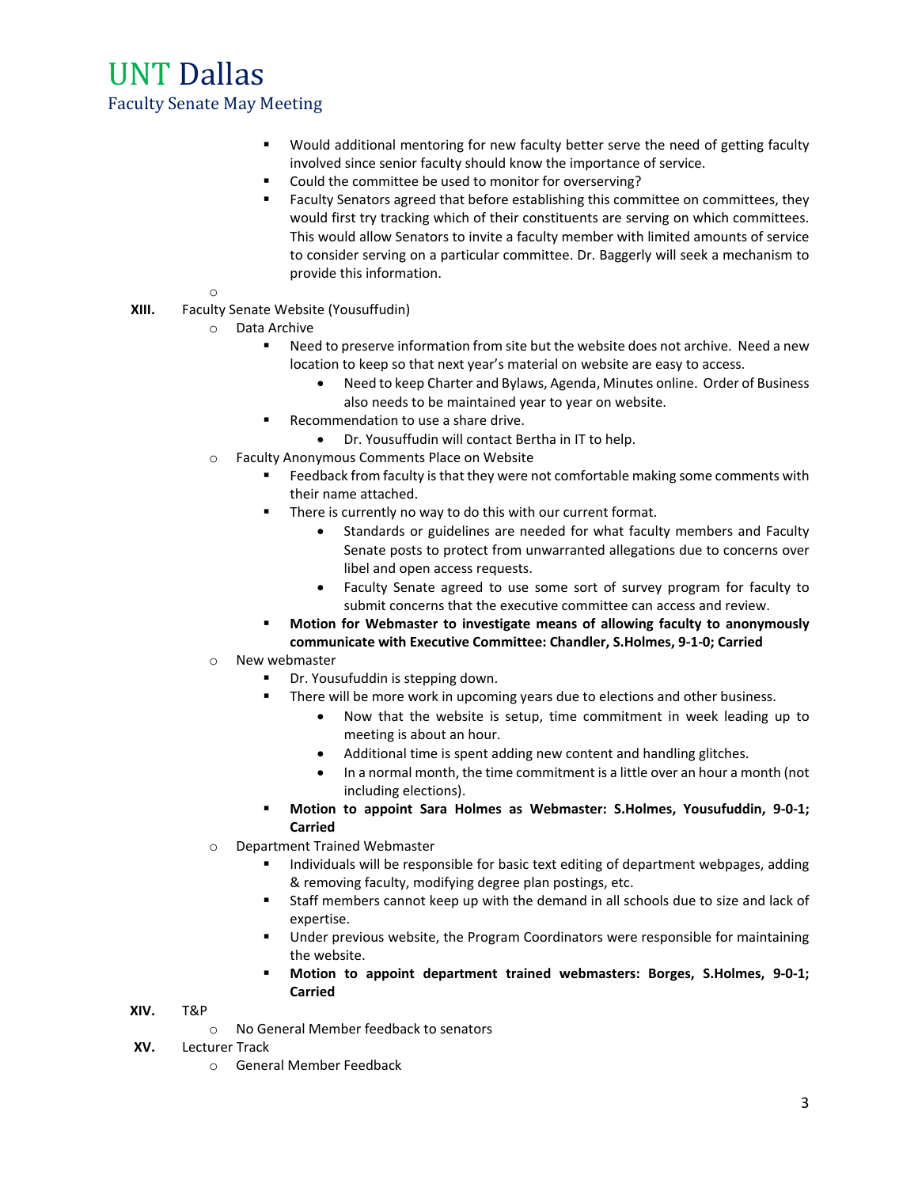- Would additional mentoring for new faculty better serve the need of getting faculty involved since senior faculty should know the importance of service.
- **EXECOULD THE COULD THE COULD THE COULD THE COULD THE COULD THE COULD** THE COULD THE COULD THE COULD THE COULD THE COULD THE COULD THE COULD THE COULD THE COULD THE COULD THE COULD THE COULD THE COULD THE COULD THE COULD T
- Faculty Senators agreed that before establishing this committee on committees, they would first try tracking which of their constituents are serving on which committees. This would allow Senators to invite a faculty member with limited amounts of service to consider serving on a particular committee. Dr. Baggerly will seek a mechanism to provide this information.
- o
- **XIII.** Faculty Senate Website (Yousuffudin)
	- o Data Archive
		- Need to preserve information from site but the website does not archive. Need a new location to keep so that next year's material on website are easy to access.
			- Need to keep Charter and Bylaws, Agenda, Minutes online. Order of Business also needs to be maintained year to year on website.
		- Recommendation to use a share drive.
			- Dr. Yousuffudin will contact Bertha in IT to help.
	- o Faculty Anonymous Comments Place on Website
		- **Feedback from faculty is that they were not comfortable making some comments with** their name attached.
		- **There is currently no way to do this with our current format.** 
			- Standards or guidelines are needed for what faculty members and Faculty Senate posts to protect from unwarranted allegations due to concerns over libel and open access requests.
			- Faculty Senate agreed to use some sort of survey program for faculty to submit concerns that the executive committee can access and review.
		- **Motion for Webmaster to investigate means of allowing faculty to anonymously communicate with Executive Committee: Chandler, S.Holmes, 9-1-0; Carried**
	- o New webmaster
		- Dr. Yousufuddin is stepping down.
		- There will be more work in upcoming years due to elections and other business.
			- Now that the website is setup, time commitment in week leading up to meeting is about an hour.
			- Additional time is spent adding new content and handling glitches.
			- In a normal month, the time commitment is a little over an hour a month (not including elections).
		- **Motion to appoint Sara Holmes as Webmaster: S.Holmes, Yousufuddin, 9-0-1; Carried**
	- o Department Trained Webmaster
		- Individuals will be responsible for basic text editing of department webpages, adding & removing faculty, modifying degree plan postings, etc.
		- Staff members cannot keep up with the demand in all schools due to size and lack of expertise.
		- Under previous website, the Program Coordinators were responsible for maintaining the website.
		- **Motion to appoint department trained webmasters: Borges, S.Holmes, 9-0-1; Carried**
- **XIV.** T&P
	- o No General Member feedback to senators
- **XV.** Lecturer Track
	- o General Member Feedback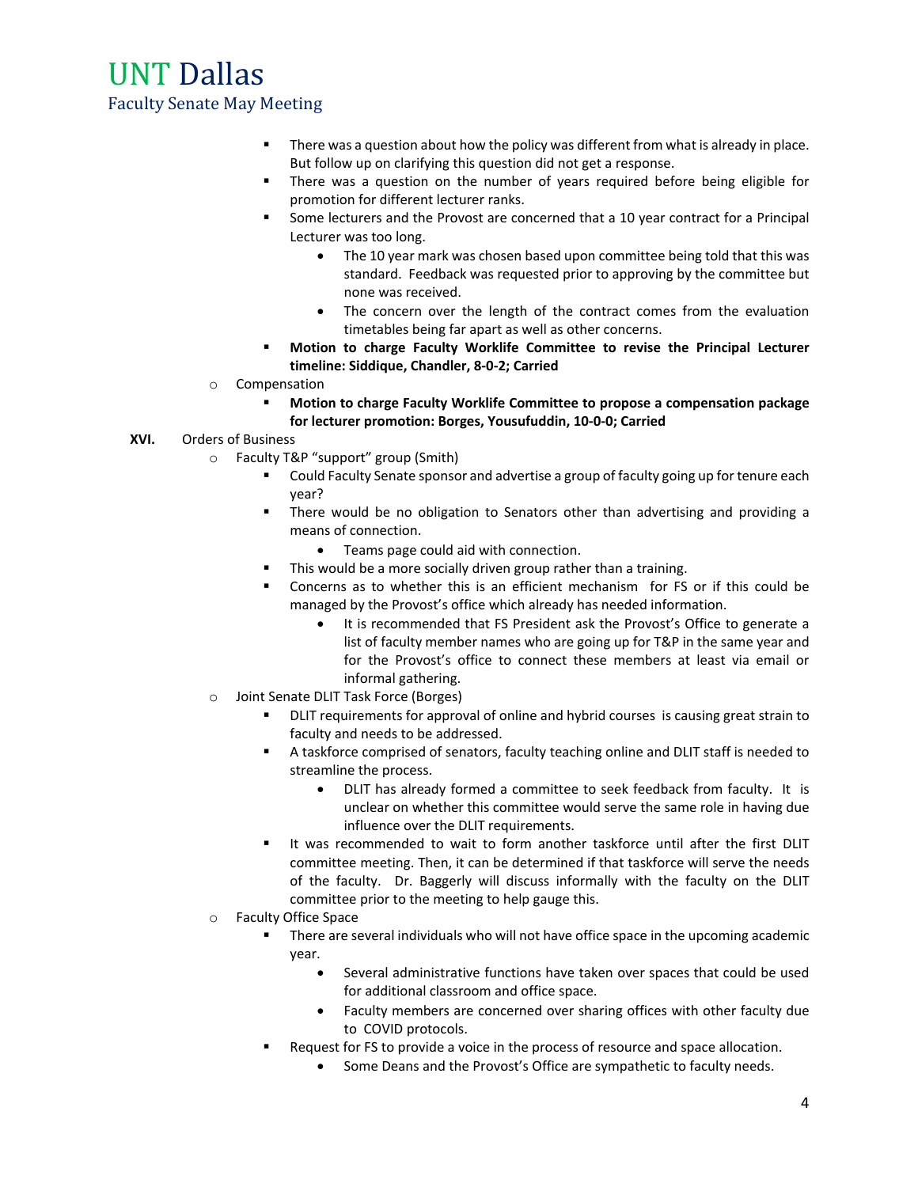- **There was a question about how the policy was different from what is already in place.** But follow up on clarifying this question did not get a response.
- **There was a question on the number of years required before being eligible for** promotion for different lecturer ranks.
- Some lecturers and the Provost are concerned that a 10 year contract for a Principal Lecturer was too long.
	- The 10 year mark was chosen based upon committee being told that this was standard. Feedback was requested prior to approving by the committee but none was received.
	- The concern over the length of the contract comes from the evaluation timetables being far apart as well as other concerns.
- **Motion to charge Faculty Worklife Committee to revise the Principal Lecturer timeline: Siddique, Chandler, 8-0-2; Carried**
- o Compensation
	- **Motion to charge Faculty Worklife Committee to propose a compensation package for lecturer promotion: Borges, Yousufuddin, 10-0-0; Carried**
- **XVI.** Orders of Business
	- o Faculty T&P "support" group (Smith)
		- **EXED ADDE FACULTY SERVITHS IN ADDET ADDET** Could Faculty going up for tenure each year?
		- **There would be no obligation to Senators other than advertising and providing a** means of connection.
			- Teams page could aid with connection.
		- **This would be a more socially driven group rather than a training.**
		- Concerns as to whether this is an efficient mechanism for FS or if this could be managed by the Provost's office which already has needed information.
			- It is recommended that FS President ask the Provost's Office to generate a list of faculty member names who are going up for T&P in the same year and for the Provost's office to connect these members at least via email or informal gathering.
	- o Joint Senate DLIT Task Force (Borges)
		- **DLIT requirements for approval of online and hybrid courses is causing great strain to** faculty and needs to be addressed.
		- A taskforce comprised of senators, faculty teaching online and DLIT staff is needed to streamline the process.
			- DLIT has already formed a committee to seek feedback from faculty. It is unclear on whether this committee would serve the same role in having due influence over the DLIT requirements.
		- It was recommended to wait to form another taskforce until after the first DLIT committee meeting. Then, it can be determined if that taskforce will serve the needs of the faculty. Dr. Baggerly will discuss informally with the faculty on the DLIT committee prior to the meeting to help gauge this.
	- o Faculty Office Space
		- **There are several individuals who will not have office space in the upcoming academic** year.
			- Several administrative functions have taken over spaces that could be used for additional classroom and office space.
			- Faculty members are concerned over sharing offices with other faculty due to COVID protocols.
		- **Request for FS to provide a voice in the process of resource and space allocation.** 
			- Some Deans and the Provost's Office are sympathetic to faculty needs.